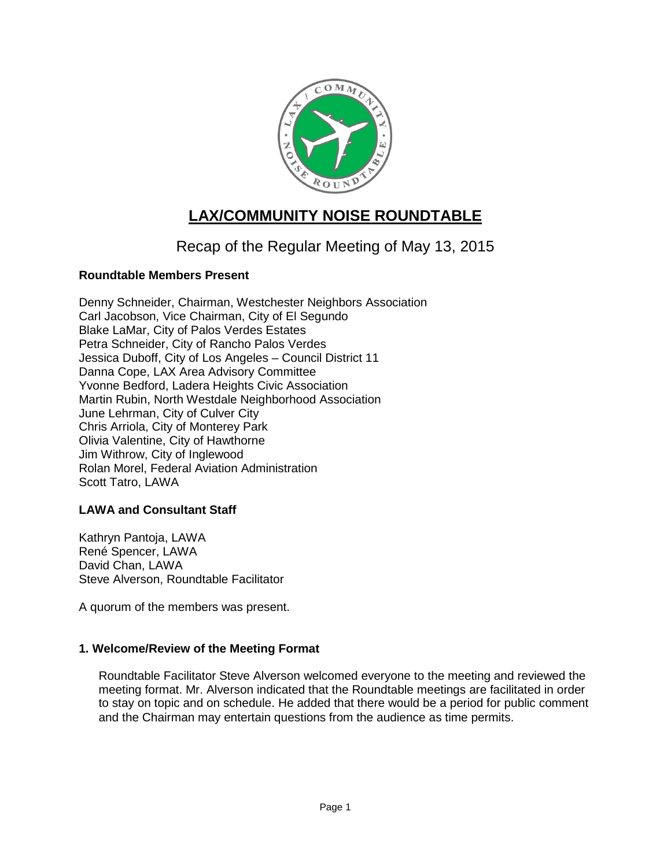

# **LAX/COMMUNITY NOISE ROUNDTABLE**

## Recap of the Regular Meeting of May 13, 2015

## **Roundtable Members Present**

Denny Schneider, Chairman, Westchester Neighbors Association Carl Jacobson, Vice Chairman, City of El Segundo Blake LaMar, City of Palos Verdes Estates Petra Schneider, City of Rancho Palos Verdes Jessica Duboff, City of Los Angeles – Council District 11 Danna Cope, LAX Area Advisory Committee Yvonne Bedford, Ladera Heights Civic Association Martin Rubin, North Westdale Neighborhood Association June Lehrman, City of Culver City Chris Arriola, City of Monterey Park Olivia Valentine, City of Hawthorne Jim Withrow, City of Inglewood Rolan Morel, Federal Aviation Administration Scott Tatro, LAWA

### **LAWA and Consultant Staff**

Kathryn Pantoja, LAWA René Spencer, LAWA David Chan, LAWA Steve Alverson, Roundtable Facilitator

A quorum of the members was present.

### **1. Welcome/Review of the Meeting Format**

Roundtable Facilitator Steve Alverson welcomed everyone to the meeting and reviewed the meeting format. Mr. Alverson indicated that the Roundtable meetings are facilitated in order to stay on topic and on schedule. He added that there would be a period for public comment and the Chairman may entertain questions from the audience as time permits.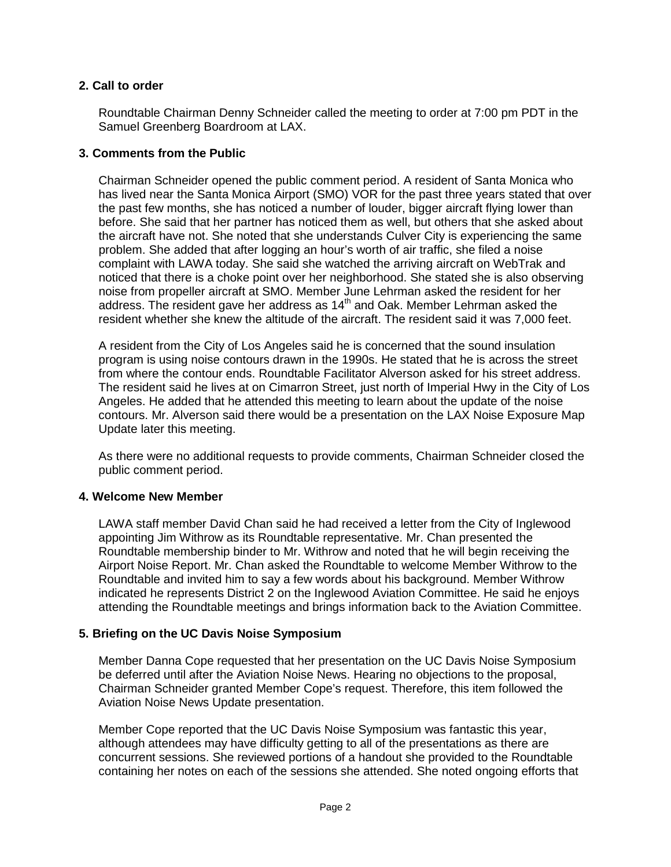## **2. Call to order**

Roundtable Chairman Denny Schneider called the meeting to order at 7:00 pm PDT in the Samuel Greenberg Boardroom at LAX.

## **3. Comments from the Public**

Chairman Schneider opened the public comment period. A resident of Santa Monica who has lived near the Santa Monica Airport (SMO) VOR for the past three years stated that over the past few months, she has noticed a number of louder, bigger aircraft flying lower than before. She said that her partner has noticed them as well, but others that she asked about the aircraft have not. She noted that she understands Culver City is experiencing the same problem. She added that after logging an hour's worth of air traffic, she filed a noise complaint with LAWA today. She said she watched the arriving aircraft on WebTrak and noticed that there is a choke point over her neighborhood. She stated she is also observing noise from propeller aircraft at SMO. Member June Lehrman asked the resident for her address. The resident gave her address as  $14<sup>th</sup>$  and Oak. Member Lehrman asked the resident whether she knew the altitude of the aircraft. The resident said it was 7,000 feet.

A resident from the City of Los Angeles said he is concerned that the sound insulation program is using noise contours drawn in the 1990s. He stated that he is across the street from where the contour ends. Roundtable Facilitator Alverson asked for his street address. The resident said he lives at on Cimarron Street, just north of Imperial Hwy in the City of Los Angeles. He added that he attended this meeting to learn about the update of the noise contours. Mr. Alverson said there would be a presentation on the LAX Noise Exposure Map Update later this meeting.

As there were no additional requests to provide comments, Chairman Schneider closed the public comment period.

### **4. Welcome New Member**

LAWA staff member David Chan said he had received a letter from the City of Inglewood appointing Jim Withrow as its Roundtable representative. Mr. Chan presented the Roundtable membership binder to Mr. Withrow and noted that he will begin receiving the Airport Noise Report. Mr. Chan asked the Roundtable to welcome Member Withrow to the Roundtable and invited him to say a few words about his background. Member Withrow indicated he represents District 2 on the Inglewood Aviation Committee. He said he enjoys attending the Roundtable meetings and brings information back to the Aviation Committee.

### **5. Briefing on the UC Davis Noise Symposium**

Member Danna Cope requested that her presentation on the UC Davis Noise Symposium be deferred until after the Aviation Noise News. Hearing no objections to the proposal, Chairman Schneider granted Member Cope's request. Therefore, this item followed the Aviation Noise News Update presentation.

Member Cope reported that the UC Davis Noise Symposium was fantastic this year, although attendees may have difficulty getting to all of the presentations as there are concurrent sessions. She reviewed portions of a handout she provided to the Roundtable containing her notes on each of the sessions she attended. She noted ongoing efforts that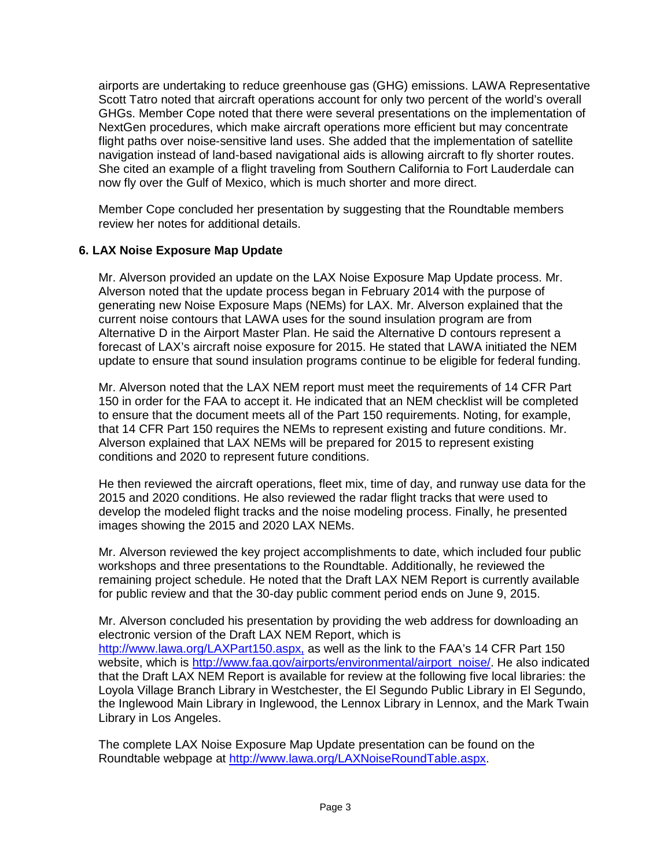airports are undertaking to reduce greenhouse gas (GHG) emissions. LAWA Representative Scott Tatro noted that aircraft operations account for only two percent of the world's overall GHGs. Member Cope noted that there were several presentations on the implementation of NextGen procedures, which make aircraft operations more efficient but may concentrate flight paths over noise-sensitive land uses. She added that the implementation of satellite navigation instead of land-based navigational aids is allowing aircraft to fly shorter routes. She cited an example of a flight traveling from Southern California to Fort Lauderdale can now fly over the Gulf of Mexico, which is much shorter and more direct.

Member Cope concluded her presentation by suggesting that the Roundtable members review her notes for additional details.

## **6. LAX Noise Exposure Map Update**

Mr. Alverson provided an update on the LAX Noise Exposure Map Update process. Mr. Alverson noted that the update process began in February 2014 with the purpose of generating new Noise Exposure Maps (NEMs) for LAX. Mr. Alverson explained that the current noise contours that LAWA uses for the sound insulation program are from Alternative D in the Airport Master Plan. He said the Alternative D contours represent a forecast of LAX's aircraft noise exposure for 2015. He stated that LAWA initiated the NEM update to ensure that sound insulation programs continue to be eligible for federal funding.

Mr. Alverson noted that the LAX NEM report must meet the requirements of 14 CFR Part 150 in order for the FAA to accept it. He indicated that an NEM checklist will be completed to ensure that the document meets all of the Part 150 requirements. Noting, for example, that 14 CFR Part 150 requires the NEMs to represent existing and future conditions. Mr. Alverson explained that LAX NEMs will be prepared for 2015 to represent existing conditions and 2020 to represent future conditions.

He then reviewed the aircraft operations, fleet mix, time of day, and runway use data for the 2015 and 2020 conditions. He also reviewed the radar flight tracks that were used to develop the modeled flight tracks and the noise modeling process. Finally, he presented images showing the 2015 and 2020 LAX NEMs.

Mr. Alverson reviewed the key project accomplishments to date, which included four public workshops and three presentations to the Roundtable. Additionally, he reviewed the remaining project schedule. He noted that the Draft LAX NEM Report is currently available for public review and that the 30-day public comment period ends on June 9, 2015.

Mr. Alverson concluded his presentation by providing the web address for downloading an electronic version of the Draft LAX NEM Report, which is [http://www.lawa.org/LAXPart150.aspx,](http://www.lawa.org/LAXPart150.aspx) as well as the link to the FAA's 14 CFR Part 150 website, which is [http://www.faa.gov/airports/environmental/airport\\_noise/.](http://www.faa.gov/airports/environmental/airport_noise/) He also indicated that the Draft LAX NEM Report is available for review at the following five local libraries: the Loyola Village Branch Library in Westchester, the El Segundo Public Library in El Segundo, the Inglewood Main Library in Inglewood, the Lennox Library in Lennox, and the Mark Twain Library in Los Angeles.

The complete LAX Noise Exposure Map Update presentation can be found on the Roundtable webpage at [http://www.lawa.org/LAXNoiseRoundTable.aspx.](http://www.lawa.org/LAXNoiseRoundTable.aspx)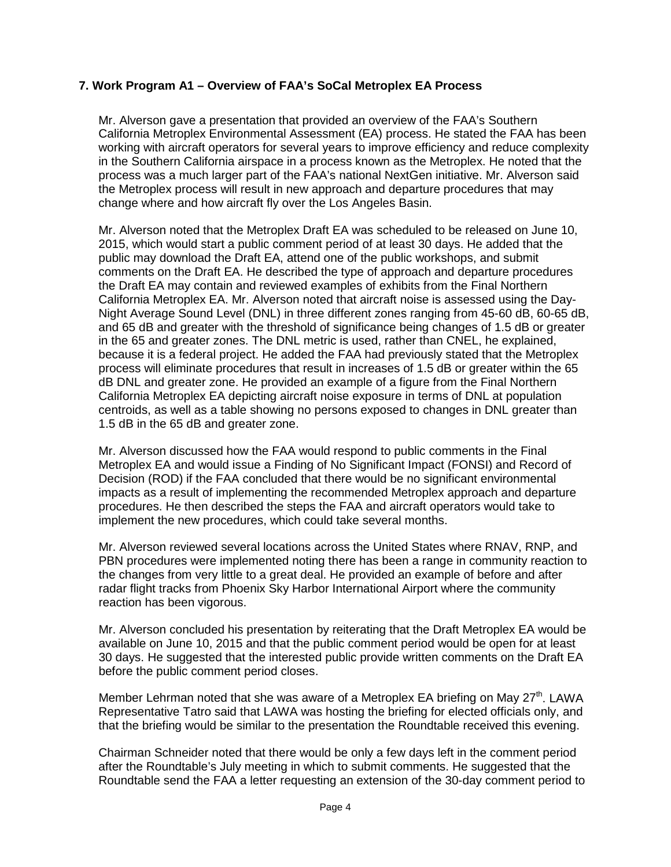## **7. Work Program A1 – Overview of FAA's SoCal Metroplex EA Process**

Mr. Alverson gave a presentation that provided an overview of the FAA's Southern California Metroplex Environmental Assessment (EA) process. He stated the FAA has been working with aircraft operators for several years to improve efficiency and reduce complexity in the Southern California airspace in a process known as the Metroplex. He noted that the process was a much larger part of the FAA's national NextGen initiative. Mr. Alverson said the Metroplex process will result in new approach and departure procedures that may change where and how aircraft fly over the Los Angeles Basin.

Mr. Alverson noted that the Metroplex Draft EA was scheduled to be released on June 10, 2015, which would start a public comment period of at least 30 days. He added that the public may download the Draft EA, attend one of the public workshops, and submit comments on the Draft EA. He described the type of approach and departure procedures the Draft EA may contain and reviewed examples of exhibits from the Final Northern California Metroplex EA. Mr. Alverson noted that aircraft noise is assessed using the Day-Night Average Sound Level (DNL) in three different zones ranging from 45-60 dB, 60-65 dB, and 65 dB and greater with the threshold of significance being changes of 1.5 dB or greater in the 65 and greater zones. The DNL metric is used, rather than CNEL, he explained, because it is a federal project. He added the FAA had previously stated that the Metroplex process will eliminate procedures that result in increases of 1.5 dB or greater within the 65 dB DNL and greater zone. He provided an example of a figure from the Final Northern California Metroplex EA depicting aircraft noise exposure in terms of DNL at population centroids, as well as a table showing no persons exposed to changes in DNL greater than 1.5 dB in the 65 dB and greater zone.

Mr. Alverson discussed how the FAA would respond to public comments in the Final Metroplex EA and would issue a Finding of No Significant Impact (FONSI) and Record of Decision (ROD) if the FAA concluded that there would be no significant environmental impacts as a result of implementing the recommended Metroplex approach and departure procedures. He then described the steps the FAA and aircraft operators would take to implement the new procedures, which could take several months.

Mr. Alverson reviewed several locations across the United States where RNAV, RNP, and PBN procedures were implemented noting there has been a range in community reaction to the changes from very little to a great deal. He provided an example of before and after radar flight tracks from Phoenix Sky Harbor International Airport where the community reaction has been vigorous.

Mr. Alverson concluded his presentation by reiterating that the Draft Metroplex EA would be available on June 10, 2015 and that the public comment period would be open for at least 30 days. He suggested that the interested public provide written comments on the Draft EA before the public comment period closes.

Member Lehrman noted that she was aware of a Metroplex EA briefing on May  $27<sup>th</sup>$ . LAWA Representative Tatro said that LAWA was hosting the briefing for elected officials only, and that the briefing would be similar to the presentation the Roundtable received this evening.

Chairman Schneider noted that there would be only a few days left in the comment period after the Roundtable's July meeting in which to submit comments. He suggested that the Roundtable send the FAA a letter requesting an extension of the 30-day comment period to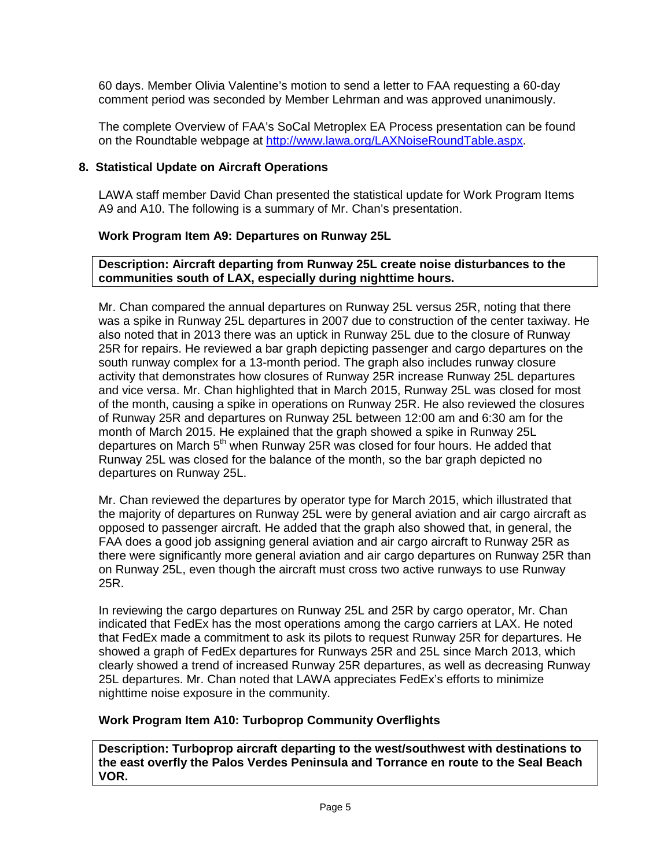60 days. Member Olivia Valentine's motion to send a letter to FAA requesting a 60-day comment period was seconded by Member Lehrman and was approved unanimously.

The complete Overview of FAA's SoCal Metroplex EA Process presentation can be found on the Roundtable webpage at [http://www.lawa.org/LAXNoiseRoundTable.aspx.](http://www.lawa.org/LAXNoiseRoundTable.aspx)

## **8. Statistical Update on Aircraft Operations**

LAWA staff member David Chan presented the statistical update for Work Program Items A9 and A10. The following is a summary of Mr. Chan's presentation.

## **Work Program Item A9: Departures on Runway 25L**

## **Description: Aircraft departing from Runway 25L create noise disturbances to the communities south of LAX, especially during nighttime hours.**

Mr. Chan compared the annual departures on Runway 25L versus 25R, noting that there was a spike in Runway 25L departures in 2007 due to construction of the center taxiway. He also noted that in 2013 there was an uptick in Runway 25L due to the closure of Runway 25R for repairs. He reviewed a bar graph depicting passenger and cargo departures on the south runway complex for a 13-month period. The graph also includes runway closure activity that demonstrates how closures of Runway 25R increase Runway 25L departures and vice versa. Mr. Chan highlighted that in March 2015, Runway 25L was closed for most of the month, causing a spike in operations on Runway 25R. He also reviewed the closures of Runway 25R and departures on Runway 25L between 12:00 am and 6:30 am for the month of March 2015. He explained that the graph showed a spike in Runway 25L departures on March  $5<sup>th</sup>$  when Runway 25R was closed for four hours. He added that Runway 25L was closed for the balance of the month, so the bar graph depicted no departures on Runway 25L.

Mr. Chan reviewed the departures by operator type for March 2015, which illustrated that the majority of departures on Runway 25L were by general aviation and air cargo aircraft as opposed to passenger aircraft. He added that the graph also showed that, in general, the FAA does a good job assigning general aviation and air cargo aircraft to Runway 25R as there were significantly more general aviation and air cargo departures on Runway 25R than on Runway 25L, even though the aircraft must cross two active runways to use Runway 25R.

In reviewing the cargo departures on Runway 25L and 25R by cargo operator, Mr. Chan indicated that FedEx has the most operations among the cargo carriers at LAX. He noted that FedEx made a commitment to ask its pilots to request Runway 25R for departures. He showed a graph of FedEx departures for Runways 25R and 25L since March 2013, which clearly showed a trend of increased Runway 25R departures, as well as decreasing Runway 25L departures. Mr. Chan noted that LAWA appreciates FedEx's efforts to minimize nighttime noise exposure in the community.

## **Work Program Item A10: Turboprop Community Overflights**

**Description: Turboprop aircraft departing to the west/southwest with destinations to the east overfly the Palos Verdes Peninsula and Torrance en route to the Seal Beach VOR.**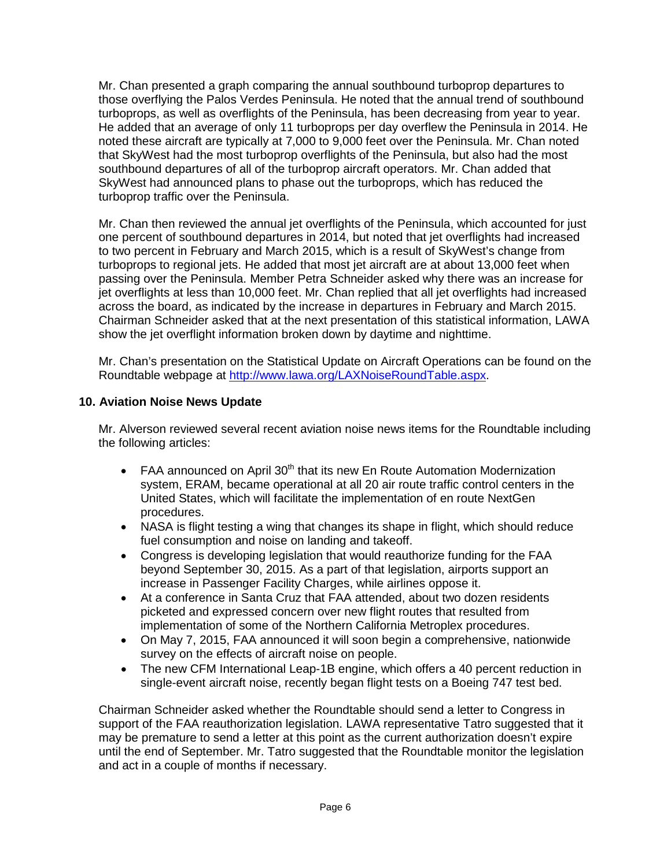Mr. Chan presented a graph comparing the annual southbound turboprop departures to those overflying the Palos Verdes Peninsula. He noted that the annual trend of southbound turboprops, as well as overflights of the Peninsula, has been decreasing from year to year. He added that an average of only 11 turboprops per day overflew the Peninsula in 2014. He noted these aircraft are typically at 7,000 to 9,000 feet over the Peninsula. Mr. Chan noted that SkyWest had the most turboprop overflights of the Peninsula, but also had the most southbound departures of all of the turboprop aircraft operators. Mr. Chan added that SkyWest had announced plans to phase out the turboprops, which has reduced the turboprop traffic over the Peninsula.

Mr. Chan then reviewed the annual jet overflights of the Peninsula, which accounted for just one percent of southbound departures in 2014, but noted that jet overflights had increased to two percent in February and March 2015, which is a result of SkyWest's change from turboprops to regional jets. He added that most jet aircraft are at about 13,000 feet when passing over the Peninsula. Member Petra Schneider asked why there was an increase for jet overflights at less than 10,000 feet. Mr. Chan replied that all jet overflights had increased across the board, as indicated by the increase in departures in February and March 2015. Chairman Schneider asked that at the next presentation of this statistical information, LAWA show the jet overflight information broken down by daytime and nighttime.

Mr. Chan's presentation on the Statistical Update on Aircraft Operations can be found on the Roundtable webpage at [http://www.lawa.org/LAXNoiseRoundTable.aspx.](http://www.lawa.org/LAXNoiseRoundTable.aspx)

## **10. Aviation Noise News Update**

Mr. Alverson reviewed several recent aviation noise news items for the Roundtable including the following articles:

- FAA announced on April  $30<sup>th</sup>$  that its new En Route Automation Modernization system, ERAM, became operational at all 20 air route traffic control centers in the United States, which will facilitate the implementation of en route NextGen procedures.
- NASA is flight testing a wing that changes its shape in flight, which should reduce fuel consumption and noise on landing and takeoff.
- Congress is developing legislation that would reauthorize funding for the FAA beyond September 30, 2015. As a part of that legislation, airports support an increase in Passenger Facility Charges, while airlines oppose it.
- At a conference in Santa Cruz that FAA attended, about two dozen residents picketed and expressed concern over new flight routes that resulted from implementation of some of the Northern California Metroplex procedures.
- On May 7, 2015, FAA announced it will soon begin a comprehensive, nationwide survey on the effects of aircraft noise on people.
- The new CFM International Leap-1B engine, which offers a 40 percent reduction in single-event aircraft noise, recently began flight tests on a Boeing 747 test bed.

Chairman Schneider asked whether the Roundtable should send a letter to Congress in support of the FAA reauthorization legislation. LAWA representative Tatro suggested that it may be premature to send a letter at this point as the current authorization doesn't expire until the end of September. Mr. Tatro suggested that the Roundtable monitor the legislation and act in a couple of months if necessary.